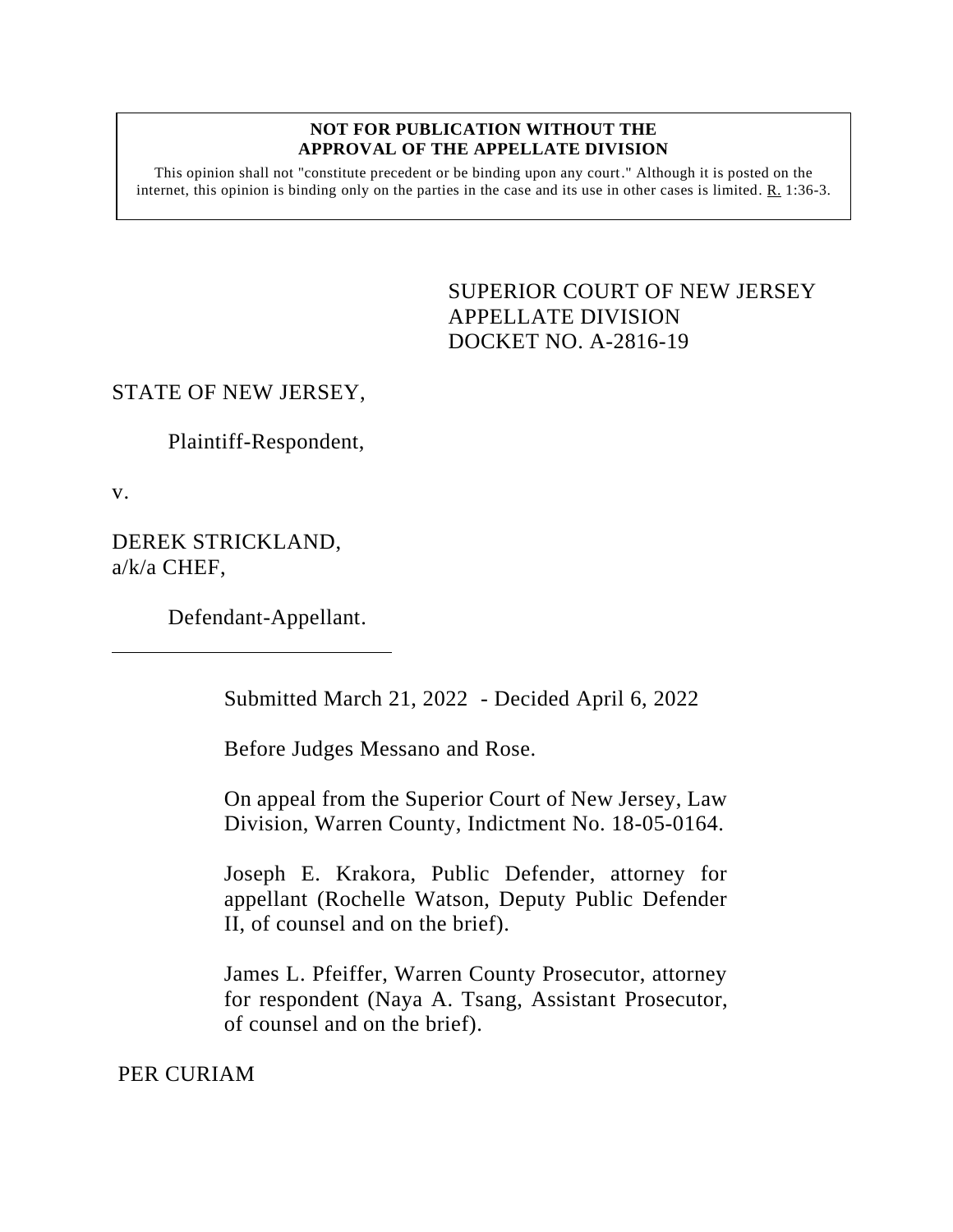## **NOT FOR PUBLICATION WITHOUT THE APPROVAL OF THE APPELLATE DIVISION**

This opinion shall not "constitute precedent or be binding upon any court." Although it is posted on the internet, this opinion is binding only on the parties in the case and its use in other cases is limited.  $R_1$  1:36-3.

> <span id="page-0-0"></span>SUPERIOR COURT OF NEW JERSEY APPELLATE DIVISION DOCKET NO. A-2816-19

## STATE OF NEW JERSEY,

Plaintiff-Respondent,

v.

DEREK STRICKLAND, a/k/a CHEF,

Defendant-Appellant.

Submitted March 21, 2022 - Decided April 6, 2022

Before Judges Messano and Rose.

On appeal from the Superior Court of New Jersey, Law Division, Warren County, Indictment No. 18-05-0164.

Joseph E. Krakora, Public Defender, attorney for appellant (Rochelle Watson, Deputy Public Defender II, of counsel and on the brief).

James L. Pfeiffer, Warren County Prosecutor, attorney for respondent (Naya A. Tsang, Assistant Prosecutor, of counsel and on the brief).

PER CURIAM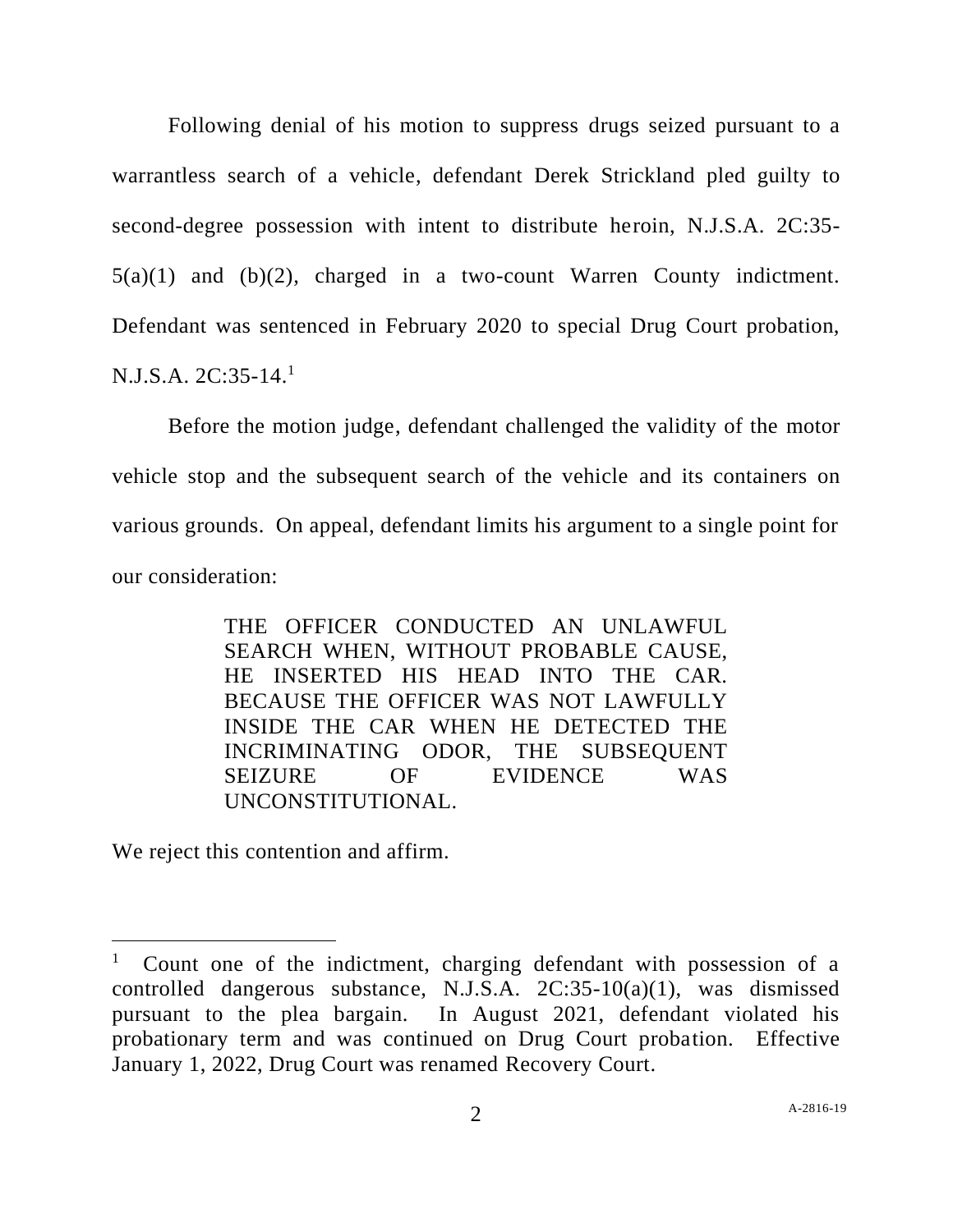Following denial of his motion to suppress drugs seized pursuant to a warrantless search of a vehicle, defendant Derek Strickland pled guilty to second-degree possession with intent to distribute heroin, N.J.S.A. 2C:35- 5(a)(1) and (b)(2), charged in a two-count Warren County indictment. Defendant was sentenced in February 2020 to special Drug Court probation, N.J.S.A. 2C:35-14. 1

Before the motion judge, defendant challenged the validity of the motor vehicle stop and the subsequent search of the vehicle and its containers on various grounds. On appeal, defendant limits his argument to a single point for our consideration:

> THE OFFICER CONDUCTED AN UNLAWFUL SEARCH WHEN, WITHOUT PROBABLE CAUSE, HE INSERTED HIS HEAD INTO THE CAR. BECAUSE THE OFFICER WAS NOT LAWFULLY INSIDE THE CAR WHEN HE DETECTED THE INCRIMINATING ODOR, THE SUBSEQUENT SEIZURE OF EVIDENCE WAS UNCONSTITUTIONAL.

We reject this contention and affirm.

<sup>1</sup> Count one of the indictment, charging defendant with possession of a controlled dangerous substance, N.J.S.A. 2C:35-10(a)(1), was dismissed pursuant to the plea bargain. In August 2021, defendant violated his probationary term and was continued on Drug Court probation. Effective January 1, 2022, Drug Court was renamed Recovery Court.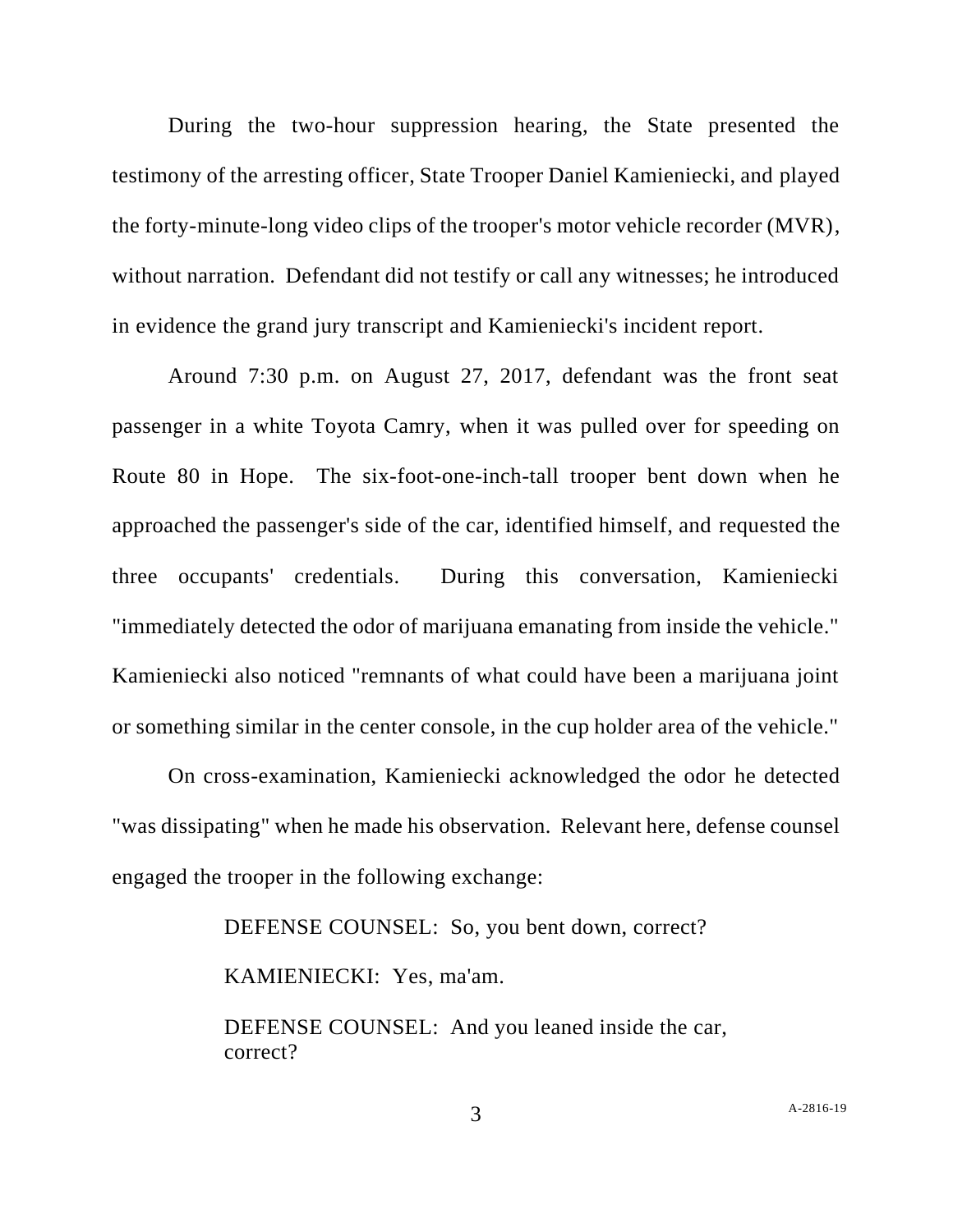During the two-hour suppression hearing, the State presented the testimony of the arresting officer, State Trooper Daniel Kamieniecki, and played the forty-minute-long video clips of the trooper's motor vehicle recorder (MVR), without narration. Defendant did not testify or call any witnesses; he introduced in evidence the grand jury transcript and Kamieniecki's incident report.

Around 7:30 p.m. on August 27, 2017, defendant was the front seat passenger in a white Toyota Camry, when it was pulled over for speeding on Route 80 in Hope. The six-foot-one-inch-tall trooper bent down when he approached the passenger's side of the car, identified himself, and requested the three occupants' credentials. During this conversation, Kamieniecki "immediately detected the odor of marijuana emanating from inside the vehicle." Kamieniecki also noticed "remnants of what could have been a marijuana joint or something similar in the center console, in the cup holder area of the vehicle."

On cross-examination, Kamieniecki acknowledged the odor he detected "was dissipating" when he made his observation. Relevant here, defense counsel engaged the trooper in the following exchange:

DEFENSE COUNSEL: So, you bent down, correct?

KAMIENIECKI: Yes, ma'am.

DEFENSE COUNSEL: And you leaned inside the car, correct?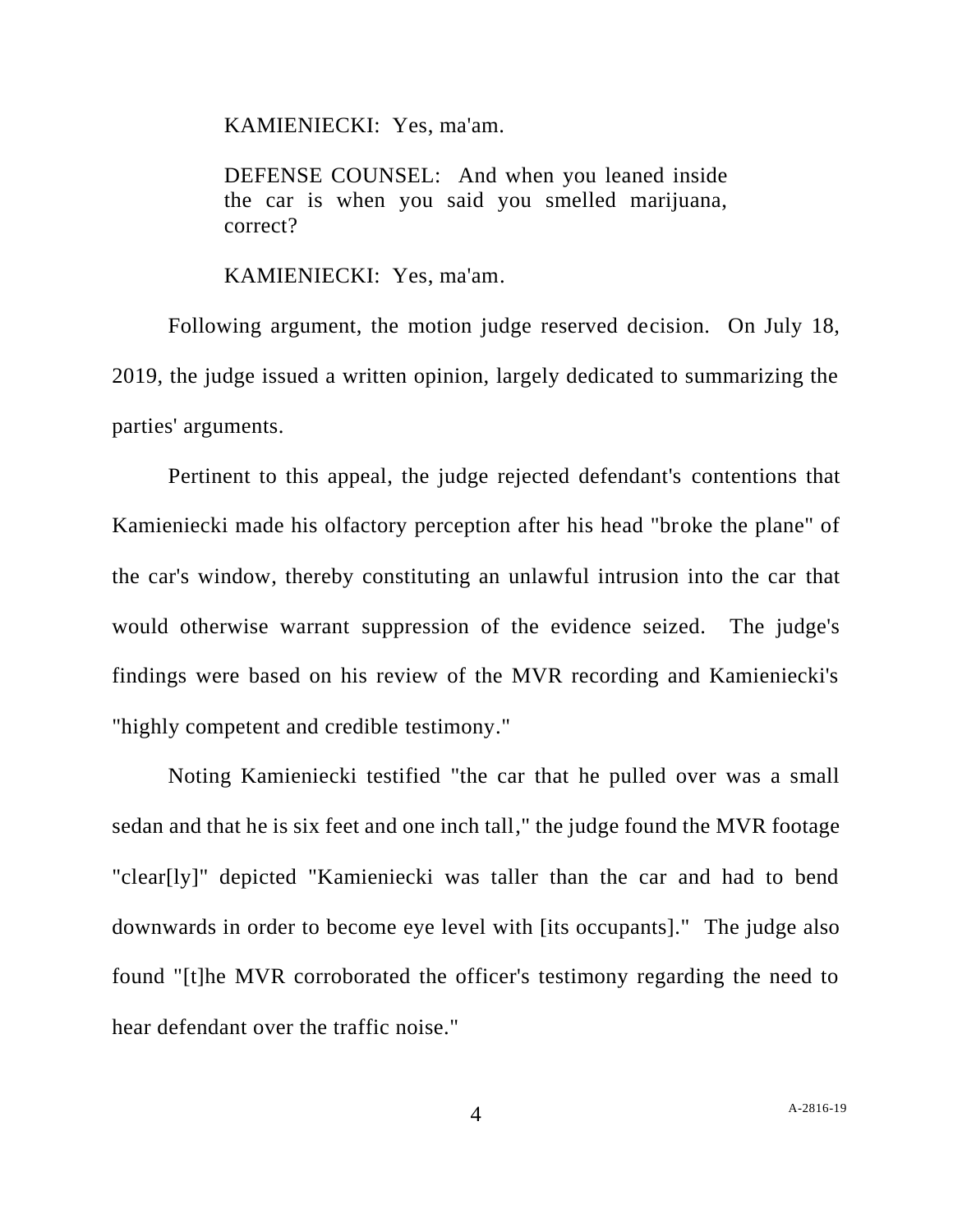KAMIENIECKI: Yes, ma'am.

DEFENSE COUNSEL: And when you leaned inside the car is when you said you smelled marijuana, correct?

KAMIENIECKI: Yes, ma'am.

Following argument, the motion judge reserved decision. On July 18, 2019, the judge issued a written opinion, largely dedicated to summarizing the parties' arguments.

Pertinent to this appeal, the judge rejected defendant's contentions that Kamieniecki made his olfactory perception after his head "broke the plane" of the car's window, thereby constituting an unlawful intrusion into the car that would otherwise warrant suppression of the evidence seized. The judge's findings were based on his review of the MVR recording and Kamieniecki's "highly competent and credible testimony."

Noting Kamieniecki testified "the car that he pulled over was a small sedan and that he is six feet and one inch tall," the judge found the MVR footage "clear[ly]" depicted "Kamieniecki was taller than the car and had to bend downwards in order to become eye level with [its occupants]." The judge also found "[t]he MVR corroborated the officer's testimony regarding the need to hear defendant over the traffic noise."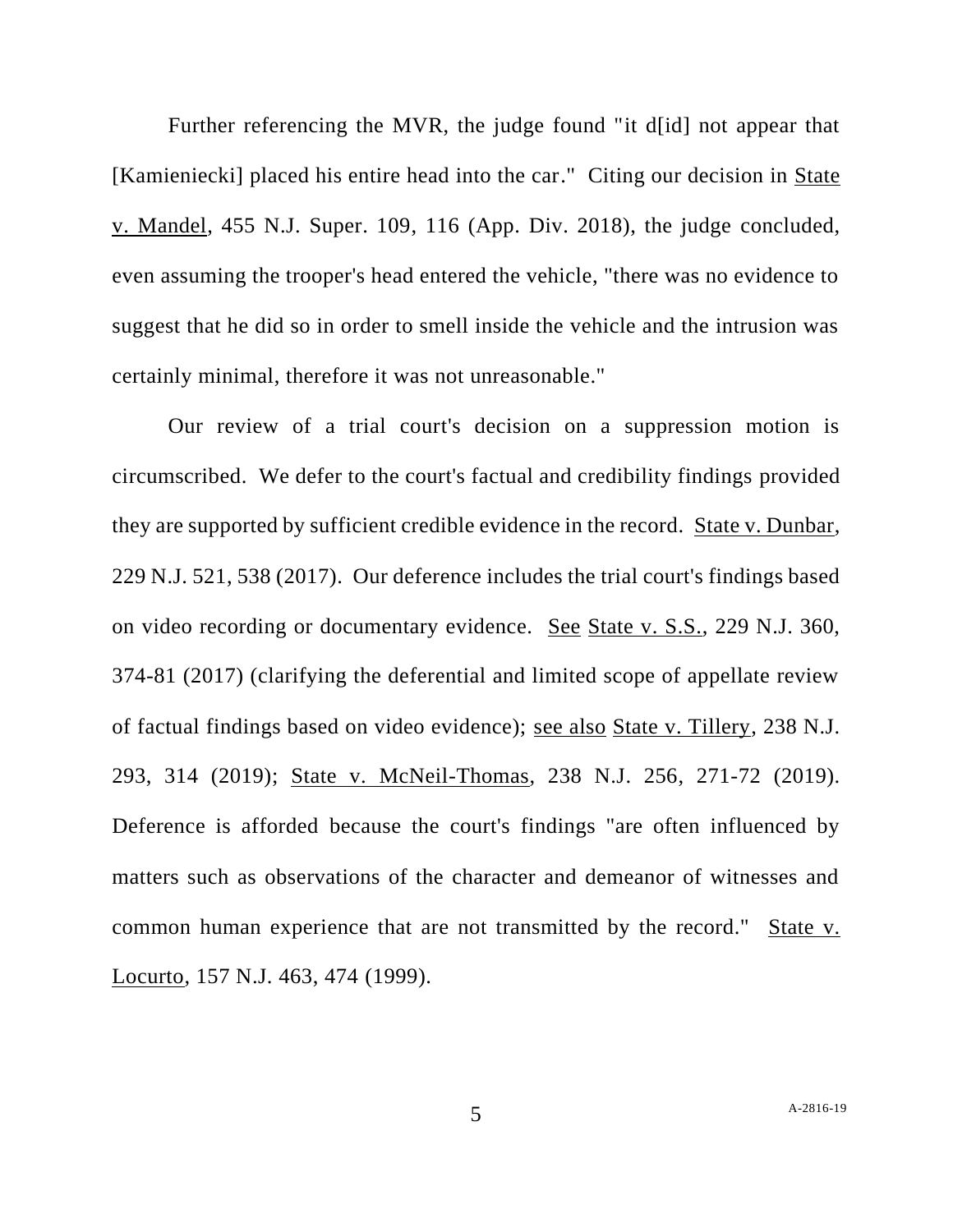Further referencing the MVR, the judge found "it d[id] not appear that [Kamieniecki] placed his entire head into the car." Citing our decision in State v. Mandel, 455 N.J. Super. 109, 116 (App. Div. 2018), the judge concluded, even assuming the trooper's head entered the vehicle, "there was no evidence to suggest that he did so in order to smell inside the vehicle and the intrusion was certainly minimal, therefore it was not unreasonable."

Our review of a trial court's decision on a suppression motion is circumscribed. We defer to the court's factual and credibility findings provided they are supported by sufficient credible evidence in the record. State v. Dunbar, 229 N.J. 521, 538 (2017). Our deference includes the trial court's findings based on video recording or documentary evidence. See State v. S.S., 229 N.J. 360, 374-81 (2017) (clarifying the deferential and limited scope of appellate review of factual findings based on video evidence); see also State v. Tillery, 238 N.J. 293, 314 (2019); State v. McNeil-Thomas, 238 N.J. 256, 271-72 (2019). Deference is afforded because the court's findings "are often influenced by matters such as observations of the character and demeanor of witnesses and common human experience that are not transmitted by the record." State v. Locurto, 157 N.J. 463, 474 (1999).

5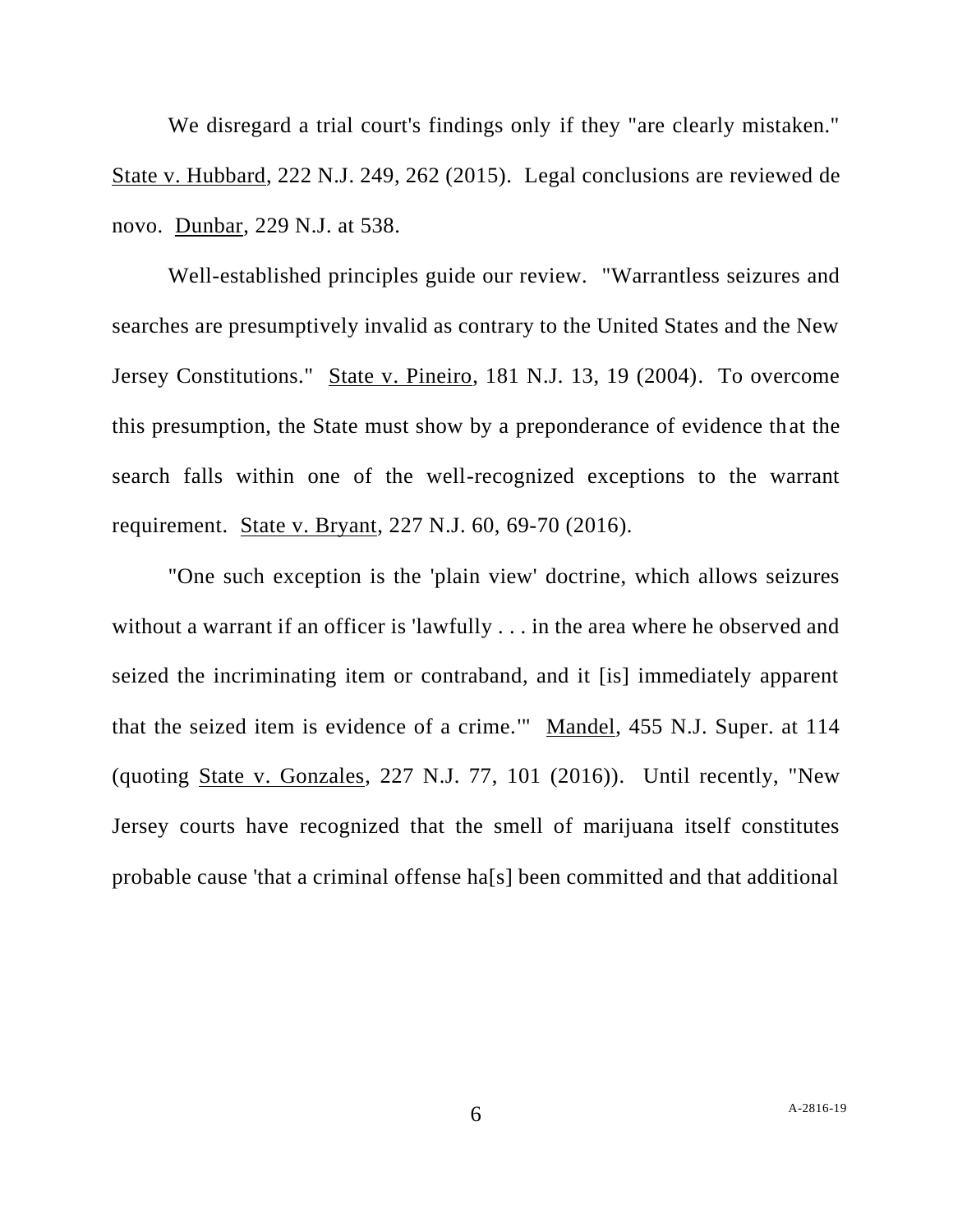We disregard a trial court's findings only if they "are clearly mistaken." State v. Hubbard, 222 N.J. 249, 262 (2015). Legal conclusions are reviewed de novo. Dunbar, 229 N.J. at 538.

Well-established principles guide our review. "Warrantless seizures and searches are presumptively invalid as contrary to the United States and the New Jersey Constitutions." State v. Pineiro, 181 N.J. 13, 19 (2004). To overcome this presumption, the State must show by a preponderance of evidence that the search falls within one of the well-recognized exceptions to the warrant requirement. State v. Bryant, 227 N.J. 60, 69-70 (2016).

"One such exception is the 'plain view' doctrine, which allows seizures without a warrant if an officer is 'lawfully . . . in the area where he observed and seized the incriminating item or contraband, and it [is] immediately apparent that the seized item is evidence of a crime.'" Mandel, 455 N.J. Super. at 114 (quoting State v. Gonzales, 227 N.J. 77, 101 (2016)). Until recently, "New Jersey courts have recognized that the smell of marijuana itself constitutes probable cause 'that a criminal offense ha[s] been committed and that additional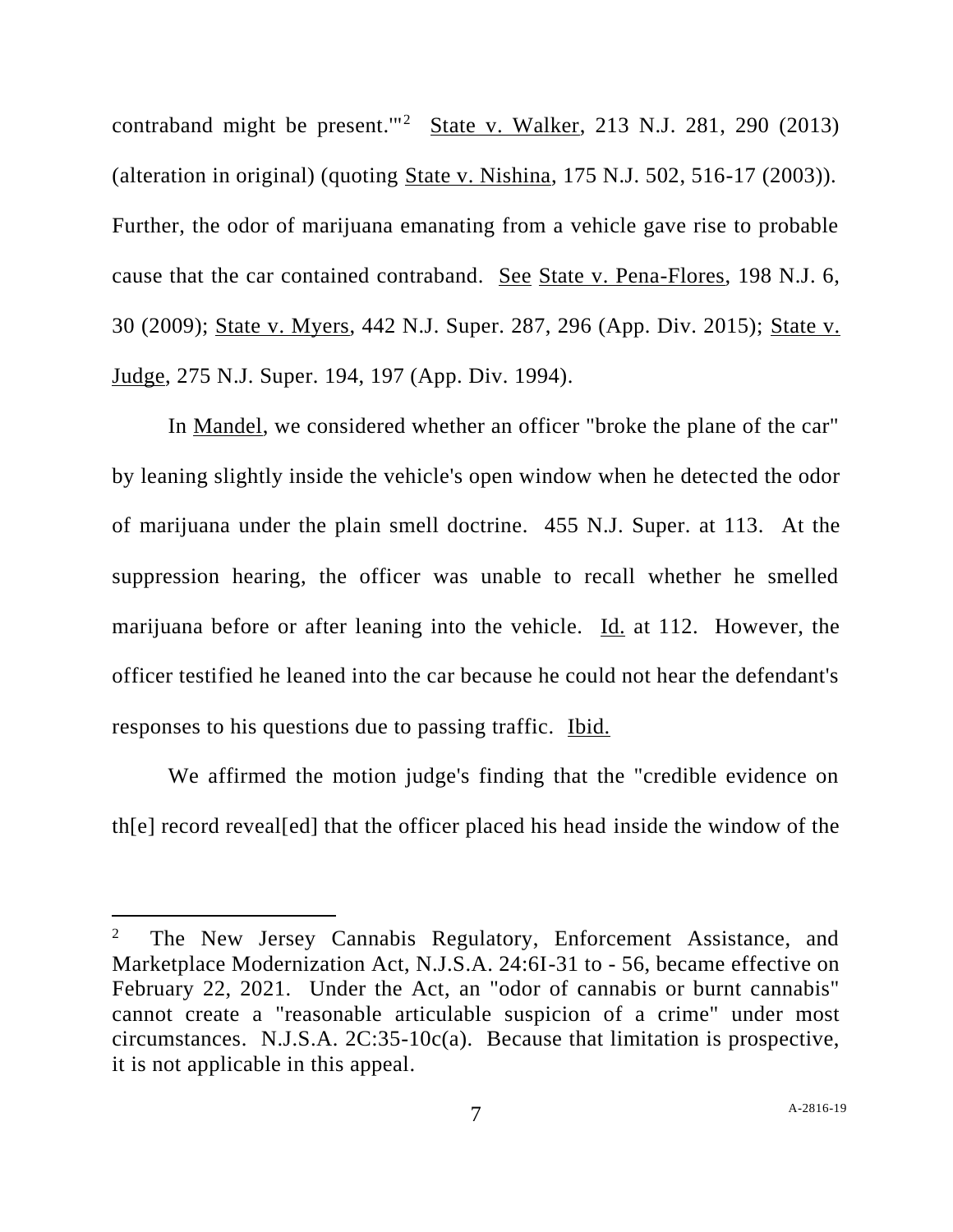contraband might be present.'"<sup>2</sup> State v. Walker, 213 N.J. 281, 290 (2013) (alteration in original) (quoting State v. Nishina, 175 N.J. 502, 516-17 (2003)). Further, the odor of marijuana emanating from a vehicle gave rise to probable cause that the car contained contraband. See State v. Pena-Flores, 198 N.J. 6, 30 (2009); State v. Myers, 442 N.J. Super. 287, 296 (App. Div. 2015); State v. Judge, 275 N.J. Super. 194, 197 (App. Div. 1994).

In Mandel, we considered whether an officer "broke the plane of the car" by leaning slightly inside the vehicle's open window when he detected the odor of marijuana under the plain smell doctrine. 455 N.J. Super. at 113. At the suppression hearing, the officer was unable to recall whether he smelled marijuana before or after leaning into the vehicle. Id. at 112. However, the officer testified he leaned into the car because he could not hear the defendant's responses to his questions due to passing traffic. Ibid.

We affirmed the motion judge's finding that the "credible evidence on th[e] record reveal[ed] that the officer placed his head inside the window of the

<sup>2</sup> The New Jersey Cannabis Regulatory, Enforcement Assistance, and Marketplace Modernization Act, N.J.S.A. 24:6I-31 to - 56, became effective on February 22, 2021. Under the Act, an "odor of cannabis or burnt cannabis" cannot create a "reasonable articulable suspicion of a crime" under most circumstances. N.J.S.A. 2C:35-10c(a). Because that limitation is prospective, it is not applicable in this appeal.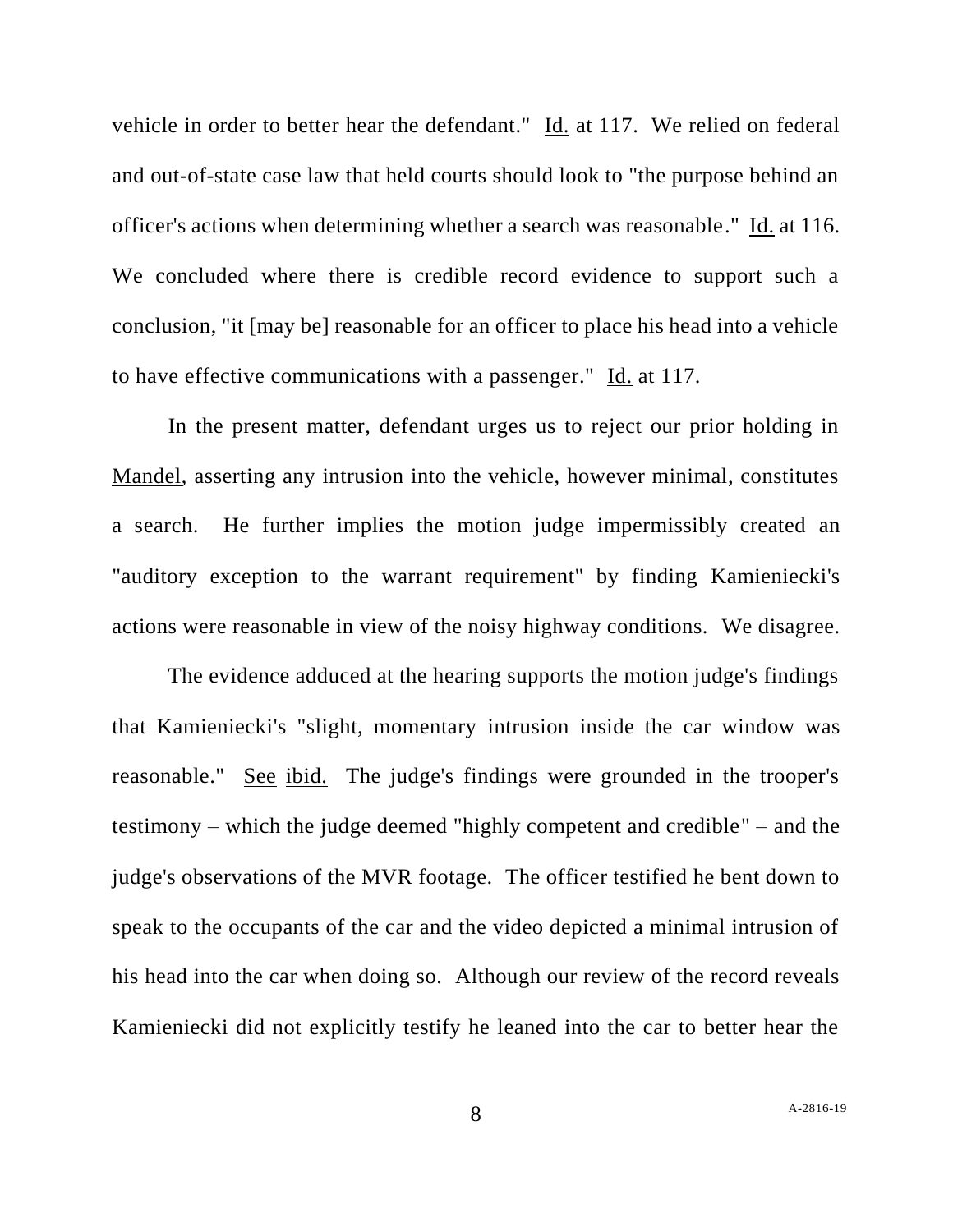vehicle in order to better hear the defendant." Id. at 117. We relied on federal and out-of-state case law that held courts should look to "the purpose behind an officer's actions when determining whether a search was reasonable." Id. at 116. We concluded where there is credible record evidence to support such a conclusion, "it [may be] reasonable for an officer to place his head into a vehicle to have effective communications with a passenger." Id. at 117.

In the present matter, defendant urges us to reject our prior holding in Mandel, asserting any intrusion into the vehicle, however minimal, constitutes a search. He further implies the motion judge impermissibly created an "auditory exception to the warrant requirement" by finding Kamieniecki's actions were reasonable in view of the noisy highway conditions. We disagree.

The evidence adduced at the hearing supports the motion judge's findings that Kamieniecki's "slight, momentary intrusion inside the car window was reasonable." See ibid. The judge's findings were grounded in the trooper's testimony – which the judge deemed "highly competent and credible" – and the judge's observations of the MVR footage. The officer testified he bent down to speak to the occupants of the car and the video depicted a minimal intrusion of his head into the car when doing so. Although our review of the record reveals Kamieniecki did not explicitly testify he leaned into the car to better hear the